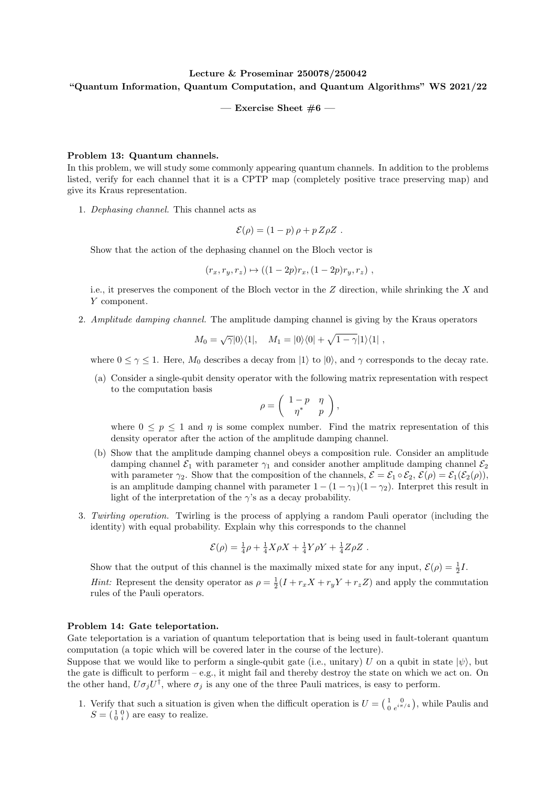## Lecture & Proseminar 250078/250042 "Quantum Information, Quantum Computation, and Quantum Algorithms" WS 2021/22

— Exercise Sheet  $#6$  —

## Problem 13: Quantum channels.

In this problem, we will study some commonly appearing quantum channels. In addition to the problems listed, verify for each channel that it is a CPTP map (completely positive trace preserving map) and give its Kraus representation.

1. Dephasing channel. This channel acts as

$$
\mathcal{E}(\rho) = (1-p)\,\rho + p\,Z\rho Z \ .
$$

Show that the action of the dephasing channel on the Bloch vector is

$$
(r_x, r_y, r_z) \mapsto ((1 - 2p)r_x, (1 - 2p)r_y, r_z) ,
$$

i.e., it preserves the component of the Bloch vector in the  $Z$  direction, while shrinking the  $X$  and Y component.

2. Amplitude damping channel. The amplitude damping channel is giving by the Kraus operators

$$
M_0 = \sqrt{\gamma} |0\rangle\langle 1|, \quad M_1 = |0\rangle\langle 0| + \sqrt{1-\gamma} |1\rangle\langle 1|,
$$

where  $0 \leq \gamma \leq 1$ . Here,  $M_0$  describes a decay from  $|1\rangle$  to  $|0\rangle$ , and  $\gamma$  corresponds to the decay rate.

(a) Consider a single-qubit density operator with the following matrix representation with respect to the computation basis

$$
\rho = \left( \begin{array}{cc} 1-p & \eta \\ \eta^* & p \end{array} \right),
$$

where  $0 \leq p \leq 1$  and  $\eta$  is some complex number. Find the matrix representation of this density operator after the action of the amplitude damping channel.

- (b) Show that the amplitude damping channel obeys a composition rule. Consider an amplitude damping channel  $\mathcal{E}_1$  with parameter  $\gamma_1$  and consider another amplitude damping channel  $\mathcal{E}_2$ with parameter  $\gamma_2$ . Show that the composition of the channels,  $\mathcal{E} = \mathcal{E}_1 \circ \mathcal{E}_2$ ,  $\mathcal{E}(\rho) = \mathcal{E}_1(\mathcal{E}_2(\rho))$ , is an amplitude damping channel with parameter  $1 - (1 - \gamma_1)(1 - \gamma_2)$ . Interpret this result in light of the interpretation of the  $\gamma$ 's as a decay probability.
- 3. Twirling operation. Twirling is the process of applying a random Pauli operator (including the identity) with equal probability. Explain why this corresponds to the channel

$$
\mathcal{E}(\rho) = \frac{1}{4}\rho + \frac{1}{4}X\rho X + \frac{1}{4}Y\rho Y + \frac{1}{4}Z\rho Z.
$$

Show that the output of this channel is the maximally mixed state for any input,  $\mathcal{E}(\rho) = \frac{1}{2}I$ . *Hint:* Represent the density operator as  $\rho = \frac{1}{2}(I + r_x X + r_y Y + r_z Z)$  and apply the commutation

rules of the Pauli operators.

## Problem 14: Gate teleportation.

Gate teleportation is a variation of quantum teleportation that is being used in fault-tolerant quantum computation (a topic which will be covered later in the course of the lecture).

Suppose that we would like to perform a single-qubit gate (i.e., unitary) U on a qubit in state  $|\psi\rangle$ , but the gate is difficult to perform  $-e.g.,$  it might fail and thereby destroy the state on which we act on. On the other hand,  $U\sigma_j U^{\dagger}$ , where  $\sigma_j$  is any one of the three Pauli matrices, is easy to perform.

1. Verify that such a situation is given when the difficult operation is  $U = \begin{pmatrix} 1 & 0 \\ 0 & e^{i\pi} \end{pmatrix}$  $\frac{1}{0}$   $\frac{0}{e^{i\pi/4}}$ , while Paulis and  $S = \begin{pmatrix} 1 & 0 \\ 0 & i \end{pmatrix}$  are easy to realize.